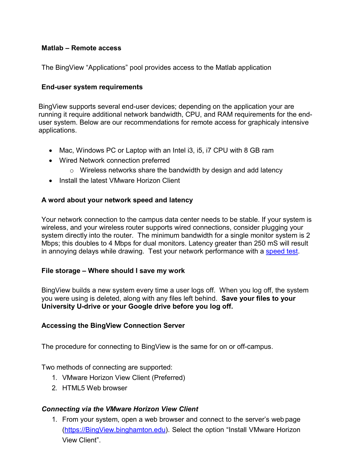# **Matlab – Remote access**

The BingView "Applications" pool provides access to the Matlab application

### **End-user system requirements**

BingView supports several end-user devices; depending on the application your are running it require additional network bandwidth, CPU, and RAM requirements for the enduser system. Below are our recommendations for remote access for graphicaly intensive applications.

- Mac, Windows PC or Laptop with an Intel i3, i5, i7 CPU with 8 GB ram
- Wired Network connection preferred
	- o Wireless networks share the bandwidth by design and add latency
- Install the latest VMware Horizon Client

# **A word about your network speed and latency**

Your network connection to the campus data center needs to be stable. If your system is wireless, and your wireless router supports wired connections, consider plugging your system directly into the router. The minimum bandwidth for a single monitor system is 2 Mbps; this doubles to 4 Mbps for dual monitors. Latency greater than 250 mS will result in annoying delays while drawing. Test your network performance with a [speed test.](https://speed.cloudflare.com/)

#### **File storage – Where should I save my work**

BingView builds a new system every time a user logs off. When you log off, the system you were using is deleted, along with any files left behind. **Save your files to your University U-drive or your Google drive before you log off.**

#### **Accessing the BingView Connection Server**

The procedure for connecting to BingView is the same for on or off-campus.

Two methods of connecting are supported:

- 1. VMware Horizon View Client (Preferred)
- 2. HTML5 Web browser

#### *Connecting via the VMware Horizon View Client*

1. From your system, open a web browser and connect to the server's web page [\(https://BingView.binghamton.edu\)](https://bingview.binghamton.edu/). Select the option "Install VMware Horizon View Client".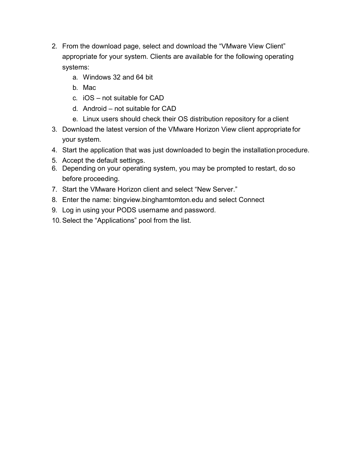- 2. From the download page, select and download the "VMware View Client" appropriate for your system. Clients are available for the following operating systems:
	- a. Windows 32 and 64 bit
	- b. Mac
	- c. iOS not suitable for CAD
	- d. Android not suitable for CAD
	- e. Linux users should check their OS distribution repository for a client
- 3. Download the latest version of the VMware Horizon View client appropriate for your system.
- 4. Start the application that was just downloaded to begin the installation procedure.
- 5. Accept the default settings.
- 6. Depending on your operating system, you may be prompted to restart, do so before proceeding.
- 7. Start the VMware Horizon client and select "New Server."
- 8. Enter the name: bingview.binghamtomton.edu and select Connect
- 9. Log in using your PODS username and password.
- 10. Select the "Applications" pool from the list.